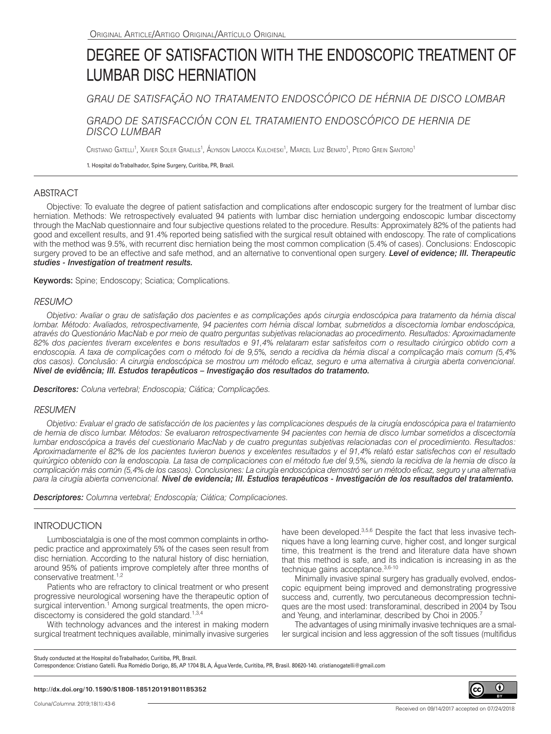# DEGREE OF SATISFACTION WITH THE ENDOSCOPIC TREATMENT OF LUMBAR DISC HERNIATION

*GRAU DE SATISFAÇÃO NO TRATAMENTO ENDOSCÓPICO DE HÉRNIA DE DISCO LOMBAR*

# *GRADO DE SATISFACCIÓN CON EL TRATAMIENTO ENDOSCÓPICO DE HERNIA DE DISCO LUMBAR*

Cristiano Gatelli<sup>1</sup>, Xavier Soler Graells<sup>1</sup>, Alynson Larocca Kulcheski<sup>1</sup>, Marcel Luiz Benato<sup>1</sup>, Pedro Grein Santoro<sup>1</sup>

1. Hospital do Trabalhador, Spine Surgery, Curitiba, PR, Brazil.

# ABSTRACT

Objective: To evaluate the degree of patient satisfaction and complications after endoscopic surgery for the treatment of lumbar disc herniation. Methods: We retrospectively evaluated 94 patients with lumbar disc herniation undergoing endoscopic lumbar discectomy through the MacNab questionnaire and four subjective questions related to the procedure. Results: Approximately 82% of the patients had good and excellent results, and 91.4% reported being satisfied with the surgical result obtained with endoscopy. The rate of complications with the method was 9.5%, with recurrent disc herniation being the most common complication (5.4% of cases). Conclusions: Endoscopic surgery proved to be an effective and safe method, and an alternative to conventional open surgery. *Level of evidence; III. Therapeutic studies - Investigation of treatment results.*

Keywords: Spine; Endoscopy; Sciatica; Complications.

## *RESUMO*

*Objetivo: Avaliar o grau de satisfação dos pacientes e as complicações após cirurgia endoscópica para tratamento da hérnia discal lombar. Método: Avaliados, retrospectivamente, 94 pacientes com hérnia discal lombar, submetidos a discectomia lombar endoscópica, através do Questionário MacNab e por meio de quatro perguntas subjetivas relacionadas ao procedimento. Resultados: Aproximadamente 82% dos pacientes tiveram excelentes e bons resultados e 91,4% relataram estar satisfeitos com o resultado cirúrgico obtido com a endoscopia. A taxa de complicações com o método foi de 9,5%, sendo a recidiva da hérnia discal a complicação mais comum (5,4% dos casos). Conclusão: A cirurgia endoscópica se mostrou um método eficaz, seguro e uma alternativa à cirurgia aberta convencional. Nível de evidência; III. Estudos terapêuticos – Investigação dos resultados do tratamento.*

*Descritores: Coluna vertebral; Endoscopia; Ciática; Complicações.*

## *RESUMEN*

*Objetivo: Evaluar el grado de satisfacción de los pacientes y las complicaciones después de la cirugía endoscópica para el tratamiento de hernia de disco lumbar. Métodos: Se evaluaron retrospectivamente 94 pacientes con hernia de disco lumbar sometidos a discectomía lumbar endoscópica a través del cuestionario MacNab y de cuatro preguntas subjetivas relacionadas con el procedimiento. Resultados: Aproximadamente el 82% de los pacientes tuvieron buenos y excelentes resultados y el 91,4% relató estar satisfechos con el resultado quirúrgico obtenido con la endoscopia. La tasa de complicaciones con el método fue del 9,5%, siendo la recidiva de la hernia de disco la complicación más común (5,4% de los casos). Conclusiones: La cirugía endoscópica demostró ser un método eficaz, seguro y una alternativa para la cirugía abierta convencional. Nivel de evidencia; III. Estudios terapéuticos - Investigación de los resultados del tratamiento.*

*Descriptores: Columna vertebral; Endoscopía; Ciática; Complicaciones.*

## INTRODUCTION

Lumbosciatalgia is one of the most common complaints in orthopedic practice and approximately 5% of the cases seen result from disc herniation. According to the natural history of disc herniation, around 95% of patients improve completely after three months of conservative treatment.<sup>1,2</sup>

Patients who are refractory to clinical treatment or who present progressive neurological worsening have the therapeutic option of surgical intervention.<sup>1</sup> Among surgical treatments, the open microdiscectomy is considered the gold standard. $1,3,4$ 

With technology advances and the interest in making modern surgical treatment techniques available, minimally invasive surgeries have been developed.<sup>3,5,6</sup> Despite the fact that less invasive techniques have a long learning curve, higher cost, and longer surgical time, this treatment is the trend and literature data have shown that this method is safe, and its indication is increasing in as the technique gains acceptance. 3,6-10

Minimally invasive spinal surgery has gradually evolved, endoscopic equipment being improved and demonstrating progressive success and, currently, two percutaneous decompression techniques are the most used: transforaminal, described in 2004 by Tsou and Yeung, and interlaminar, described by Choi in 2005.<sup>7</sup>

The advantages of using minimally invasive techniques are a smaller surgical incision and less aggression of the soft tissues (multifidus

Study conducted at the Hospital do Trabalhador, Curitiba, PR, Brazil.

Correspondence: Cristiano Gatelli. Rua Romédio Dorigo, 85, AP 1704 BL A, Água Verde, Curitiba, PR, Brasil. 80620-140. cristianogatelli@gmail.com

#### **http://dx.doi.org/10.1590/S1808-185120191801185352**

Received on 09/14/2017 accepted on 07/24/2018

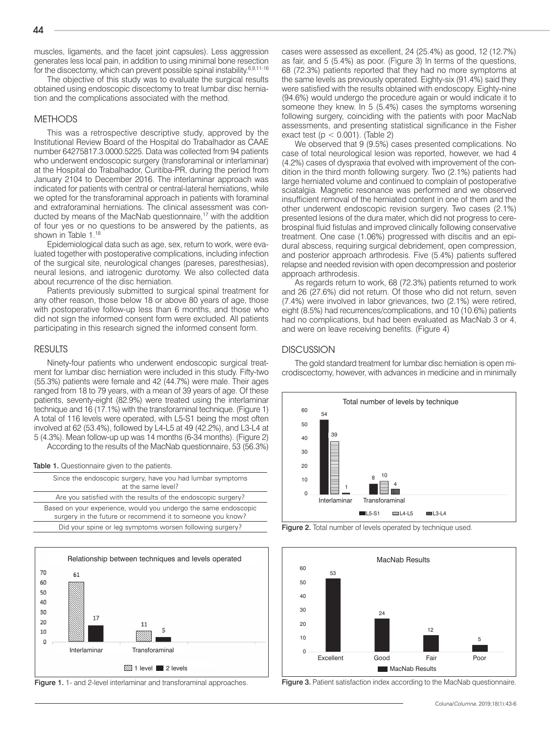The objective of this study was to evaluate the surgical results obtained using endoscopic discectomy to treat lumbar disc herniation and the complications associated with the method.

## **METHODS**

This was a retrospective descriptive study, approved by the Institutional Review Board of the Hospital do Trabalhador as CAAE number 64275817.3.0000.5225. Data was collected from 94 patients who underwent endoscopic surgery (transforaminal or interlaminar) at the Hospital do Trabalhador, Curitiba-PR, during the period from January 2104 to December 2016. The interlaminar approach was indicated for patients with central or central-lateral herniations, while we opted for the transforaminal approach in patients with foraminal and extraforaminal herniations. The clinical assessment was conducted by means of the MacNab questionnaire,<sup>17</sup> with the addition of four yes or no questions to be answered by the patients, as shown in Table 1.<sup>18</sup>

Epidemiological data such as age, sex, return to work, were evaluated together with postoperative complications, including infection of the surgical site, neurological changes (pareses, paresthesias), neural lesions, and iatrogenic durotomy. We also collected data about recurrence of the disc herniation.

Patients previously submitted to surgical spinal treatment for any other reason, those below 18 or above 80 years of age, those with postoperative follow-up less than 6 months, and those who did not sign the informed consent form were excluded. All patients participating in this research signed the informed consent form.

### RESULTS

Ninety-four patients who underwent endoscopic surgical treatment for lumbar disc herniation were included in this study. Fifty-two (55.3%) patients were female and 42 (44.7%) were male. Their ages ranged from 18 to 79 years, with a mean of 39 years of age. Of these patients, seventy-eight (82.9%) were treated using the interlaminar technique and 16 (17.1%) with the transforaminal technique. (Figure 1) A total of 116 levels were operated, with L5-S1 being the most often involved at 62 (53.4%), followed by L4-L5 at 49 (42.2%), and L3-L4 at 5 (4.3%). Mean follow-up up was 14 months (6-34 months). (Figure 2) According to the results of the MacNab questionnaire, 53 (56.3%)

Table 1. Questionnaire given to the patients.

| Since the endoscopic surgery, have you had lumbar symptoms<br>at the same level?                                              |
|-------------------------------------------------------------------------------------------------------------------------------|
| Are you satisfied with the results of the endoscopic surgery?                                                                 |
| Based on your experience, would you undergo the same endoscopic<br>surgery in the future or recommend it to someone you know? |
| Did your spine or leg symptoms worsen following surgery?                                                                      |
|                                                                                                                               |



Figure 1. 1- and 2-level interlaminar and transforaminal approaches.

cases were assessed as excellent, 24 (25.4%) as good, 12 (12.7%) as fair, and 5 (5.4%) as poor. (Figure 3) In terms of the questions, 68 (72.3%) patients reported that they had no more symptoms at the same levels as previously operated. Eighty-six (91.4%) said they were satisfied with the results obtained with endoscopy. Eighty-nine (94.6%) would undergo the procedure again or would indicate it to someone they knew. In 5 (5.4%) cases the symptoms worsening following surgery, coinciding with the patients with poor MacNab assessments, and presenting statistical significance in the Fisher exact test ( $p < 0.001$ ). (Table 2)

We observed that 9 (9.5%) cases presented complications. No case of total neurological lesion was reported, however, we had 4 (4.2%) cases of dyspraxia that evolved with improvement of the condition in the third month following surgery. Two (2.1%) patients had large herniated volume and continued to complain of postoperative sciatalgia. Magnetic resonance was performed and we observed insufficient removal of the herniated content in one of them and the other underwent endoscopic revision surgery. Two cases (2.1%) presented lesions of the dura mater, which did not progress to cerebrospinal fluid fistulas and improved clinically following conservative treatment. One case (1.06%) progressed with discitis and an epidural abscess, requiring surgical debridement, open compression, and posterior approach arthrodesis. Five (5.4%) patients suffered relapse and needed revision with open decompression and posterior approach arthrodesis.

As regards return to work, 68 (72.3%) patients returned to work and 26 (27.6%) did not return. Of those who did not return, seven (7.4%) were involved in labor grievances, two (2.1%) were retired, eight (8.5%) had recurrences/complications, and 10 (10.6%) patients had no complications, but had been evaluated as MacNab 3 or 4, and were on leave receiving benefits. (Figure 4)

## **DISCUSSION**

The gold standard treatment for lumbar disc herniation is open microdiscectomy, however, with advances in medicine and in minimally







Figure 3. Patient satisfaction index according to the MacNab questionnaire.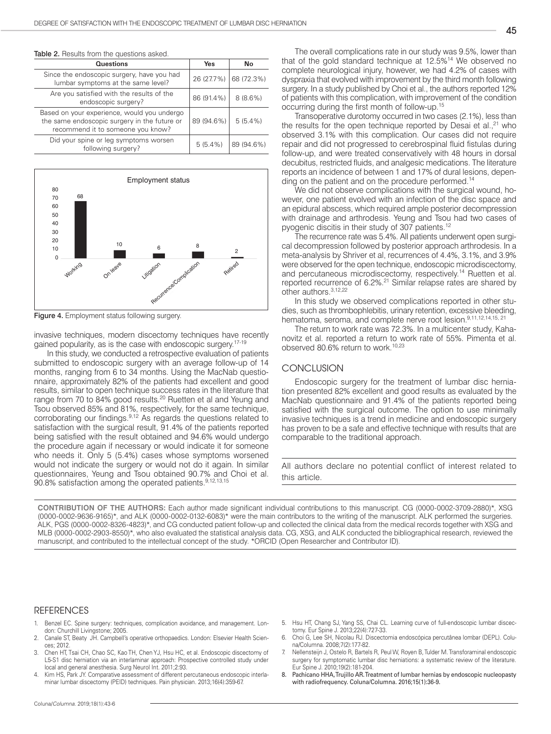| Table 2. Results from the questions asked.                                                                                       |            |            |  |
|----------------------------------------------------------------------------------------------------------------------------------|------------|------------|--|
| Questions                                                                                                                        | Yes        | No         |  |
| Since the endoscopic surgery, have you had<br>lumbar symptoms at the same level?                                                 | 26 (27.7%) | 68 (72.3%) |  |
| Are you satisfied with the results of the<br>endoscopic surgery?                                                                 | 86 (91.4%) | $8(8.6\%)$ |  |
| Based on your experience, would you undergo<br>the same endoscopic surgery in the future or<br>recommend it to someone you know? | 89 (94.6%) | $5(5.4\%)$ |  |
| Did your spine or leg symptoms worsen<br>following surgery?                                                                      | $5(5.4\%)$ | 89 (94.6%) |  |



Figure 4. Employment status following surgery.

invasive techniques, modern discectomy techniques have recently gained popularity, as is the case with endoscopic surgery.17-19

In this study, we conducted a retrospective evaluation of patients submitted to endoscopic surgery with an average follow-up of 14 months, ranging from 6 to 34 months. Using the MacNab questionnaire, approximately 82% of the patients had excellent and good results, similar to open technique success rates in the literature that range from 70 to 84% good results.20 Ruetten et al and Yeung and Tsou observed 85% and 81%, respectively, for the same technique, corroborating our findings.<sup>9,12</sup> As regards the questions related to satisfaction with the surgical result, 91.4% of the patients reported being satisfied with the result obtained and 94.6% would undergo the procedure again if necessary or would indicate it for someone who needs it. Only 5 (5.4%) cases whose symptoms worsened would not indicate the surgery or would not do it again. In similar questionnaires, Yeung and Tsou obtained 90.7% and Choi et al. 90.8% satisfaction among the operated patients.<sup>9,12,13,15</sup>

The overall complications rate in our study was 9.5%, lower than that of the gold standard technique at 12.5%14 We observed no complete neurological injury, however, we had 4.2% of cases with dyspraxia that evolved with improvement by the third month following surgery. In a study published by Choi et al., the authors reported 12% of patients with this complication, with improvement of the condition occurring during the first month of follow-up.15

Transoperative durotomy occurred in two cases (2.1%), less than the results for the open technique reported by Desai et al.,<sup>21</sup> who observed 3.1% with this complication. Our cases did not require repair and did not progressed to cerebrospinal fluid fistulas during follow-up, and were treated conservatively with 48 hours in dorsal decubitus, restricted fluids, and analgesic medications. The literature reports an incidence of between 1 and 17% of dural lesions, depending on the patient and on the procedure performed.<sup>14</sup>

We did not observe complications with the surgical wound, however, one patient evolved with an infection of the disc space and an epidural abscess, which required ample posterior decompression with drainage and arthrodesis. Yeung and Tsou had two cases of pyogenic discitis in their study of 307 patients.<sup>12</sup>

The recurrence rate was 5.4%. All patients underwent open surgical decompression followed by posterior approach arthrodesis. In a meta-analysis by Shriver et al, recurrences of 4.4%, 3.1%, and 3.9% were observed for the open technique, endoscopic microdiscectomy, and percutaneous microdiscectomy, respectively.14 Ruetten et al. reported recurrence of 6.2%.21 Similar relapse rates are shared by other authors.3,12,22

In this study we observed complications reported in other studies, such as thrombophlebitis, urinary retention, excessive bleeding, hematoma, seroma, and complete nerve root lesion.<sup>9,11,12,14,15, 21</sup>

The return to work rate was 72.3%. In a multicenter study, Kahanovitz et al. reported a return to work rate of 55%. Pimenta et al. observed 80.6% return to work.<sup>10,23</sup>

## **CONCLUSION**

Endoscopic surgery for the treatment of lumbar disc herniation presented 82% excellent and good results as evaluated by the MacNab questionnaire and 91.4% of the patients reported being satisfied with the surgical outcome. The option to use minimally invasive techniques is a trend in medicine and endoscopic surgery has proven to be a safe and effective technique with results that are comparable to the traditional approach.

All authors declare no potential conflict of interest related to this article.

**CONTRIBUTION OF THE AUTHORS:** Each author made significant individual contributions to this manuscript. CG (0000-0002-3709-2880)\*, XSG (0000-0002-9636-9165)\*, and ALK (0000-0002-0132-6083)\* were the main contributors to the writing of the manuscript. ALK performed the surgeries. ALK, PGS (0000-0002-8326-4823)\*, and CG conducted patient follow-up and collected the clinical data from the medical records together with XSG and MLB (0000-0002-2903-8550)\*, who also evaluated the statistical analysis data. CG, XSG, and ALK conducted the bibliographical research, reviewed the manuscript, and contributed to the intellectual concept of the study. \*ORCID (Open Researcher and Contributor ID).

#### **REFERENCES**

- Benzel EC. Spine surgery: techniques, complication avoidance, and management. London: Churchill Livingstone; 2005.
- 2. Canale ST, Beaty JH. Campbell's operative orthopaedics. London: Elsevier Health Sciences; 2012.
- 3. Chen HT, Tsai CH, Chao SC, Kao TH, Chen YJ, Hsu HC, et al. Endoscopic discectomy of L5-S1 disc herniation via an interlaminar approach: Prospective controlled study under local and general anesthesia. Surg Neurol Int. 2011;2:93.
- Kim HS, Park JY. Comparative assessment of different percutaneous endoscopic interlaminar lumbar discectomy (PEID) techniques. Pain physician. 2013;16(4):359-67.
- 5. Hsu HT, Chang SJ, Yang SS, Chai CL. Learning curve of full-endoscopic lumbar discectomy. Eur Spine J. 2013;22(4):727-33.
- 6. Choi G, Lee SH, Nicolau RJ. Discectomia endoscópica percutânea lombar (DEPL). Coluna/Columna. 2008;7(2):177-82.
- 7. Nellensteijn J, Ostelo R, Bartels R, Peul W, Royen B, Tulder M. Transforaminal endoscopic surgery for symptomatic lumbar disc herniations: a systematic review of the literature. Eur Spine J. 2010;19(2):181-204.
- 8. Pachicano HHA, Trujillo AR. Treatment of lumbar hernias by endoscopic nucleopasty with radiofrequency. Coluna/Columna. 2016;15(1):36-9.